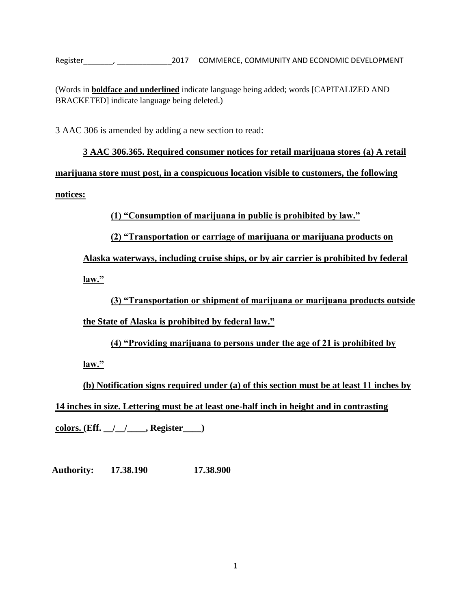Register\_\_\_\_\_\_\_, \_\_\_\_\_\_\_\_\_\_\_\_\_2017 COMMERCE, COMMUNITY AND ECONOMIC DEVELOPMENT

(Words in **boldface and underlined** indicate language being added; words [CAPITALIZED AND BRACKETED] indicate language being deleted.)

3 AAC 306 is amended by adding a new section to read:

**3 AAC 306.365. Required consumer notices for retail marijuana stores (a) A retail marijuana store must post, in a conspicuous location visible to customers, the following notices:**

**(1) "Consumption of marijuana in public is prohibited by law."**

**(2) "Transportation or carriage of marijuana or marijuana products on** 

**Alaska waterways, including cruise ships, or by air carrier is prohibited by federal**

**law."**

**(3) "Transportation or shipment of marijuana or marijuana products outside** 

**the State of Alaska is prohibited by federal law."**

**(4) "Providing marijuana to persons under the age of 21 is prohibited by** 

**law."**

**(b) Notification signs required under (a) of this section must be at least 11 inches by 14 inches in size. Lettering must be at least one-half inch in height and in contrasting**

**colors. (Eff. \_\_/\_\_/\_\_\_\_, Register\_\_\_\_)**

**Authority: 17.38.190 17.38.900**